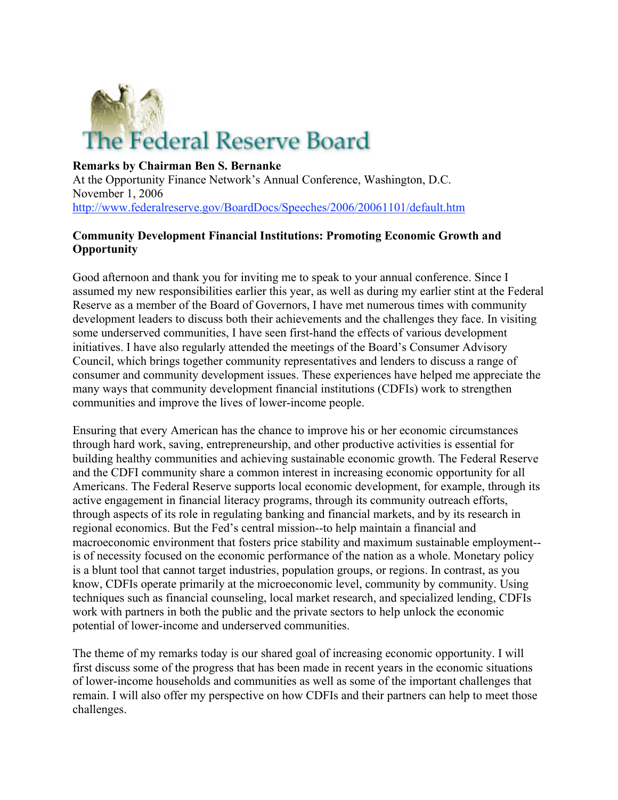

### **Remarks by Chairman Ben S. Bernanke**

At the Opportunity Finance Network's Annual Conference, Washington, D.C. November 1, 2006 http://www.federalreserve.gov/BoardDocs/Speeches/2006/20061101/default.htm

### **Community Development Financial Institutions: Promoting Economic Growth and Opportunity**

Good afternoon and thank you for inviting me to speak to your annual conference. Since I assumed my new responsibilities earlier this year, as well as during my earlier stint at the Federal Reserve as a member of the Board of Governors, I have met numerous times with community development leaders to discuss both their achievements and the challenges they face. In visiting some underserved communities, I have seen first-hand the effects of various development initiatives. I have also regularly attended the meetings of the Board's Consumer Advisory Council, which brings together community representatives and lenders to discuss a range of consumer and community development issues. These experiences have helped me appreciate the many ways that community development financial institutions (CDFIs) work to strengthen communities and improve the lives of lower-income people.

Ensuring that every American has the chance to improve his or her economic circumstances through hard work, saving, entrepreneurship, and other productive activities is essential for building healthy communities and achieving sustainable economic growth. The Federal Reserve and the CDFI community share a common interest in increasing economic opportunity for all Americans. The Federal Reserve supports local economic development, for example, through its active engagement in financial literacy programs, through its community outreach efforts, through aspects of its role in regulating banking and financial markets, and by its research in regional economics. But the Fed's central mission--to help maintain a financial and macroeconomic environment that fosters price stability and maximum sustainable employment- is of necessity focused on the economic performance of the nation as a whole. Monetary policy is a blunt tool that cannot target industries, population groups, or regions. In contrast, as you know, CDFIs operate primarily at the microeconomic level, community by community. Using techniques such as financial counseling, local market research, and specialized lending, CDFIs work with partners in both the public and the private sectors to help unlock the economic potential of lower-income and underserved communities.

The theme of my remarks today is our shared goal of increasing economic opportunity. I will first discuss some of the progress that has been made in recent years in the economic situations of lower-income households and communities as well as some of the important challenges that remain. I will also offer my perspective on how CDFIs and their partners can help to meet those challenges.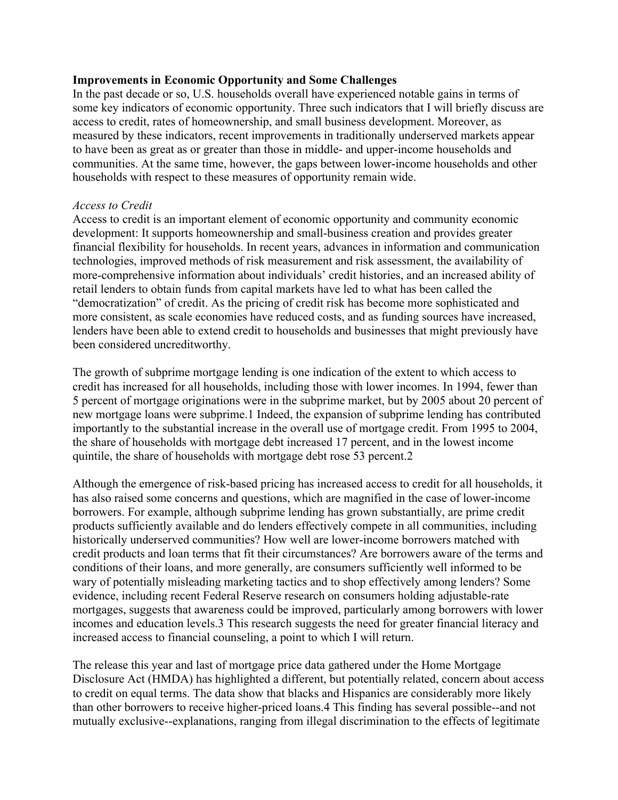### **Improvements in Economic Opportunity and Some Challenges**

In the past decade or so, U.S. households overall have experienced notable gains in terms of some key indicators of economic opportunity. Three such indicators that I will briefly discuss are access to credit, rates of homeownership, and small business development. Moreover, as measured by these indicators, recent improvements in traditionally underserved markets appear to have been as great as or greater than those in middle- and upper-income households and communities. At the same time, however, the gaps between lower-income households and other households with respect to these measures of opportunity remain wide.

### *Access to Credit*

Access to credit is an important element of economic opportunity and community economic development: It supports homeownership and small-business creation and provides greater financial flexibility for households. In recent years, advances in information and communication technologies, improved methods of risk measurement and risk assessment, the availability of more-comprehensive information about individuals' credit histories, and an increased ability of retail lenders to obtain funds from capital markets have led to what has been called the "democratization" of credit. As the pricing of credit risk has become more sophisticated and more consistent, as scale economies have reduced costs, and as funding sources have increased, lenders have been able to extend credit to households and businesses that might previously have been considered uncreditworthy.

The growth of subprime mortgage lending is one indication of the extent to which access to credit has increased for all households, including those with lower incomes. In 1994, fewer than 5 percent of mortgage originations were in the subprime market, but by 2005 about 20 percent of new mortgage loans were subprime.1 Indeed, the expansion of subprime lending has contributed importantly to the substantial increase in the overall use of mortgage credit. From 1995 to 2004, the share of households with mortgage debt increased 17 percent, and in the lowest income quintile, the share of households with mortgage debt rose 53 percent.2

Although the emergence of risk-based pricing has increased access to credit for all households, it has also raised some concerns and questions, which are magnified in the case of lower-income borrowers. For example, although subprime lending has grown substantially, are prime credit products sufficiently available and do lenders effectively compete in all communities, including historically underserved communities? How well are lower-income borrowers matched with credit products and loan terms that fit their circumstances? Are borrowers aware of the terms and conditions of their loans, and more generally, are consumers sufficiently well informed to be wary of potentially misleading marketing tactics and to shop effectively among lenders? Some evidence, including recent Federal Reserve research on consumers holding adjustable-rate mortgages, suggests that awareness could be improved, particularly among borrowers with lower incomes and education levels.3 This research suggests the need for greater financial literacy and increased access to financial counseling, a point to which I will return.

The release this year and last of mortgage price data gathered under the Home Mortgage Disclosure Act (HMDA) has highlighted a different, but potentially related, concern about access to credit on equal terms. The data show that blacks and Hispanics are considerably more likely than other borrowers to receive higher-priced loans.4 This finding has several possible--and not mutually exclusive--explanations, ranging from illegal discrimination to the effects of legitimate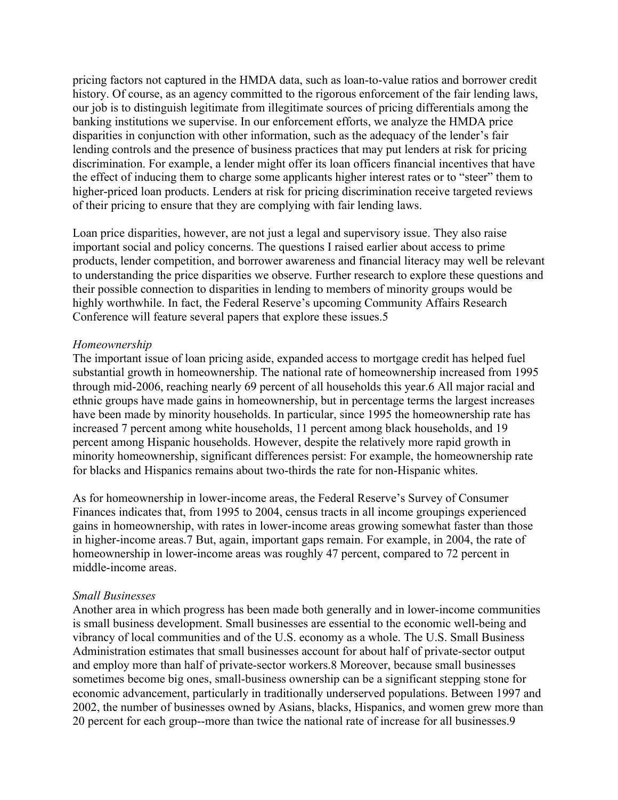pricing factors not captured in the HMDA data, such as loan-to-value ratios and borrower credit history. Of course, as an agency committed to the rigorous enforcement of the fair lending laws, our job is to distinguish legitimate from illegitimate sources of pricing differentials among the banking institutions we supervise. In our enforcement efforts, we analyze the HMDA price disparities in conjunction with other information, such as the adequacy of the lender's fair lending controls and the presence of business practices that may put lenders at risk for pricing discrimination. For example, a lender might offer its loan officers financial incentives that have the effect of inducing them to charge some applicants higher interest rates or to "steer" them to higher-priced loan products. Lenders at risk for pricing discrimination receive targeted reviews of their pricing to ensure that they are complying with fair lending laws.

Loan price disparities, however, are not just a legal and supervisory issue. They also raise important social and policy concerns. The questions I raised earlier about access to prime products, lender competition, and borrower awareness and financial literacy may well be relevant to understanding the price disparities we observe. Further research to explore these questions and their possible connection to disparities in lending to members of minority groups would be highly worthwhile. In fact, the Federal Reserve's upcoming Community Affairs Research Conference will feature several papers that explore these issues.5

#### *Homeownership*

The important issue of loan pricing aside, expanded access to mortgage credit has helped fuel substantial growth in homeownership. The national rate of homeownership increased from 1995 through mid-2006, reaching nearly 69 percent of all households this year.6 All major racial and ethnic groups have made gains in homeownership, but in percentage terms the largest increases have been made by minority households. In particular, since 1995 the homeownership rate has increased 7 percent among white households, 11 percent among black households, and 19 percent among Hispanic households. However, despite the relatively more rapid growth in minority homeownership, significant differences persist: For example, the homeownership rate for blacks and Hispanics remains about two-thirds the rate for non-Hispanic whites.

As for homeownership in lower-income areas, the Federal Reserve's Survey of Consumer Finances indicates that, from 1995 to 2004, census tracts in all income groupings experienced gains in homeownership, with rates in lower-income areas growing somewhat faster than those in higher-income areas.7 But, again, important gaps remain. For example, in 2004, the rate of homeownership in lower-income areas was roughly 47 percent, compared to 72 percent in middle-income areas.

#### *Small Businesses*

Another area in which progress has been made both generally and in lower-income communities is small business development. Small businesses are essential to the economic well-being and vibrancy of local communities and of the U.S. economy as a whole. The U.S. Small Business Administration estimates that small businesses account for about half of private-sector output and employ more than half of private-sector workers.8 Moreover, because small businesses sometimes become big ones, small-business ownership can be a significant stepping stone for economic advancement, particularly in traditionally underserved populations. Between 1997 and 2002, the number of businesses owned by Asians, blacks, Hispanics, and women grew more than 20 percent for each group--more than twice the national rate of increase for all businesses.9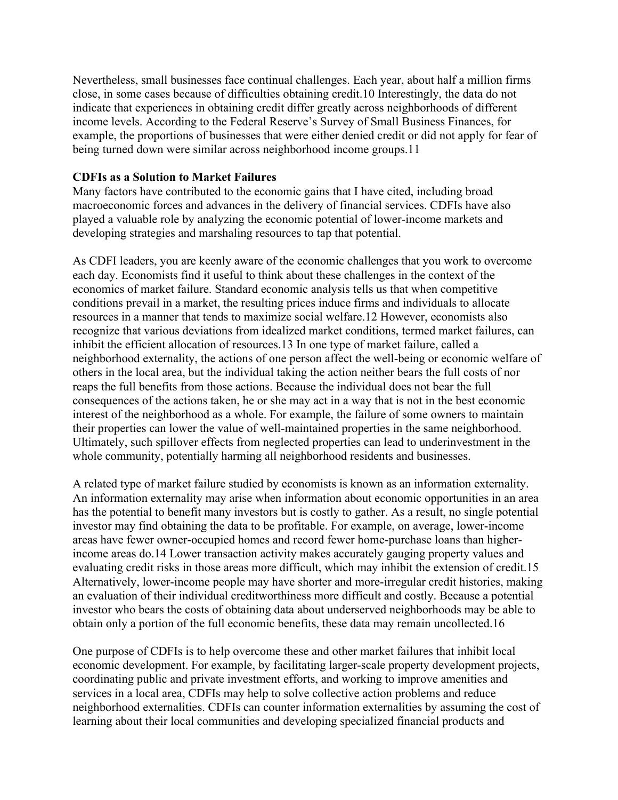Nevertheless, small businesses face continual challenges. Each year, about half a million firms close, in some cases because of difficulties obtaining credit.10 Interestingly, the data do not indicate that experiences in obtaining credit differ greatly across neighborhoods of different income levels. According to the Federal Reserve's Survey of Small Business Finances, for example, the proportions of businesses that were either denied credit or did not apply for fear of being turned down were similar across neighborhood income groups.11

### **CDFIs as a Solution to Market Failures**

Many factors have contributed to the economic gains that I have cited, including broad macroeconomic forces and advances in the delivery of financial services. CDFIs have also played a valuable role by analyzing the economic potential of lower-income markets and developing strategies and marshaling resources to tap that potential.

As CDFI leaders, you are keenly aware of the economic challenges that you work to overcome each day. Economists find it useful to think about these challenges in the context of the economics of market failure. Standard economic analysis tells us that when competitive conditions prevail in a market, the resulting prices induce firms and individuals to allocate resources in a manner that tends to maximize social welfare.12 However, economists also recognize that various deviations from idealized market conditions, termed market failures, can inhibit the efficient allocation of resources.13 In one type of market failure, called a neighborhood externality, the actions of one person affect the well-being or economic welfare of others in the local area, but the individual taking the action neither bears the full costs of nor reaps the full benefits from those actions. Because the individual does not bear the full consequences of the actions taken, he or she may act in a way that is not in the best economic interest of the neighborhood as a whole. For example, the failure of some owners to maintain their properties can lower the value of well-maintained properties in the same neighborhood. Ultimately, such spillover effects from neglected properties can lead to underinvestment in the whole community, potentially harming all neighborhood residents and businesses.

A related type of market failure studied by economists is known as an information externality. An information externality may arise when information about economic opportunities in an area has the potential to benefit many investors but is costly to gather. As a result, no single potential investor may find obtaining the data to be profitable. For example, on average, lower-income areas have fewer owner-occupied homes and record fewer home-purchase loans than higherincome areas do.14 Lower transaction activity makes accurately gauging property values and evaluating credit risks in those areas more difficult, which may inhibit the extension of credit.15 Alternatively, lower-income people may have shorter and more-irregular credit histories, making an evaluation of their individual creditworthiness more difficult and costly. Because a potential investor who bears the costs of obtaining data about underserved neighborhoods may be able to obtain only a portion of the full economic benefits, these data may remain uncollected.16

One purpose of CDFIs is to help overcome these and other market failures that inhibit local economic development. For example, by facilitating larger-scale property development projects, coordinating public and private investment efforts, and working to improve amenities and services in a local area, CDFIs may help to solve collective action problems and reduce neighborhood externalities. CDFIs can counter information externalities by assuming the cost of learning about their local communities and developing specialized financial products and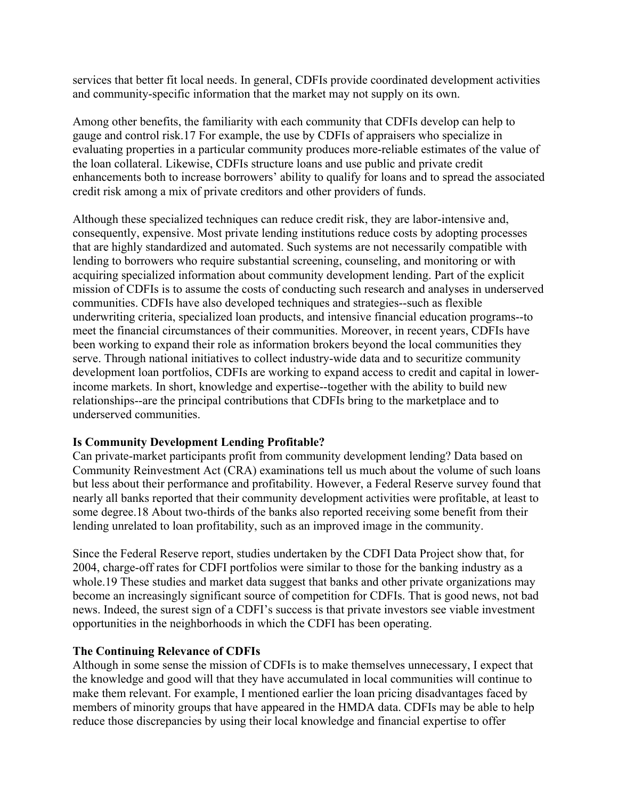services that better fit local needs. In general, CDFIs provide coordinated development activities and community-specific information that the market may not supply on its own.

Among other benefits, the familiarity with each community that CDFIs develop can help to gauge and control risk.17 For example, the use by CDFIs of appraisers who specialize in evaluating properties in a particular community produces more-reliable estimates of the value of the loan collateral. Likewise, CDFIs structure loans and use public and private credit enhancements both to increase borrowers' ability to qualify for loans and to spread the associated credit risk among a mix of private creditors and other providers of funds.

Although these specialized techniques can reduce credit risk, they are labor-intensive and, consequently, expensive. Most private lending institutions reduce costs by adopting processes that are highly standardized and automated. Such systems are not necessarily compatible with lending to borrowers who require substantial screening, counseling, and monitoring or with acquiring specialized information about community development lending. Part of the explicit mission of CDFIs is to assume the costs of conducting such research and analyses in underserved communities. CDFIs have also developed techniques and strategies--such as flexible underwriting criteria, specialized loan products, and intensive financial education programs--to meet the financial circumstances of their communities. Moreover, in recent years, CDFIs have been working to expand their role as information brokers beyond the local communities they serve. Through national initiatives to collect industry-wide data and to securitize community development loan portfolios, CDFIs are working to expand access to credit and capital in lowerincome markets. In short, knowledge and expertise--together with the ability to build new relationships--are the principal contributions that CDFIs bring to the marketplace and to underserved communities.

## **Is Community Development Lending Profitable?**

Can private-market participants profit from community development lending? Data based on Community Reinvestment Act (CRA) examinations tell us much about the volume of such loans but less about their performance and profitability. However, a Federal Reserve survey found that nearly all banks reported that their community development activities were profitable, at least to some degree.18 About two-thirds of the banks also reported receiving some benefit from their lending unrelated to loan profitability, such as an improved image in the community.

Since the Federal Reserve report, studies undertaken by the CDFI Data Project show that, for 2004, charge-off rates for CDFI portfolios were similar to those for the banking industry as a whole.19 These studies and market data suggest that banks and other private organizations may become an increasingly significant source of competition for CDFIs. That is good news, not bad news. Indeed, the surest sign of a CDFI's success is that private investors see viable investment opportunities in the neighborhoods in which the CDFI has been operating.

## **The Continuing Relevance of CDFIs**

Although in some sense the mission of CDFIs is to make themselves unnecessary, I expect that the knowledge and good will that they have accumulated in local communities will continue to make them relevant. For example, I mentioned earlier the loan pricing disadvantages faced by members of minority groups that have appeared in the HMDA data. CDFIs may be able to help reduce those discrepancies by using their local knowledge and financial expertise to offer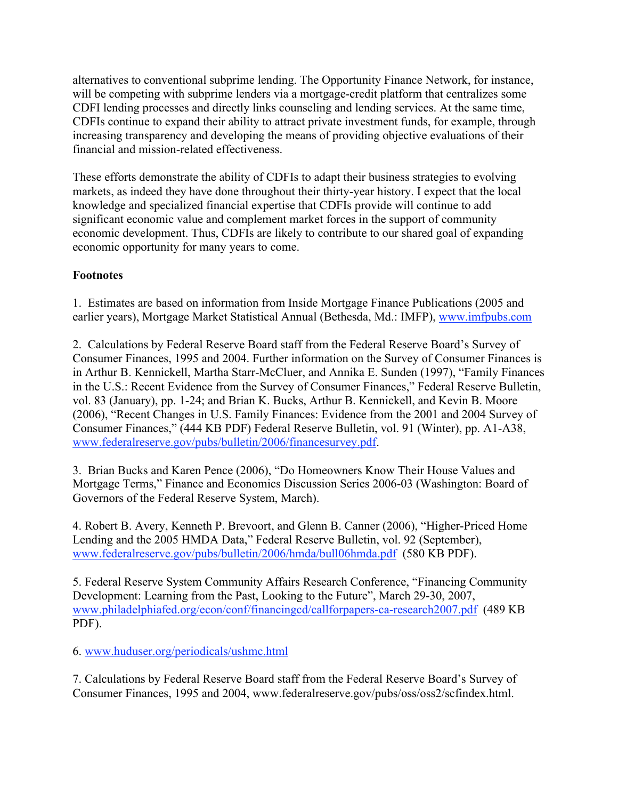alternatives to conventional subprime lending. The Opportunity Finance Network, for instance, will be competing with subprime lenders via a mortgage-credit platform that centralizes some CDFI lending processes and directly links counseling and lending services. At the same time, CDFIs continue to expand their ability to attract private investment funds, for example, through increasing transparency and developing the means of providing objective evaluations of their financial and mission-related effectiveness.

These efforts demonstrate the ability of CDFIs to adapt their business strategies to evolving markets, as indeed they have done throughout their thirty-year history. I expect that the local knowledge and specialized financial expertise that CDFIs provide will continue to add significant economic value and complement market forces in the support of community economic development. Thus, CDFIs are likely to contribute to our shared goal of expanding economic opportunity for many years to come.

# **Footnotes**

1. Estimates are based on information from Inside Mortgage Finance Publications (2005 and earlier years), Mortgage Market Statistical Annual (Bethesda, Md.: IMFP), www.imfpubs.com

2. Calculations by Federal Reserve Board staff from the Federal Reserve Board's Survey of Consumer Finances, 1995 and 2004. Further information on the Survey of Consumer Finances is in Arthur B. Kennickell, Martha Starr-McCluer, and Annika E. Sunden (1997), "Family Finances in the U.S.: Recent Evidence from the Survey of Consumer Finances," Federal Reserve Bulletin, vol. 83 (January), pp. 1-24; and Brian K. Bucks, Arthur B. Kennickell, and Kevin B. Moore (2006), "Recent Changes in U.S. Family Finances: Evidence from the 2001 and 2004 Survey of Consumer Finances," (444 KB PDF) Federal Reserve Bulletin, vol. 91 (Winter), pp. A1-A38, www.federalreserve.gov/pubs/bulletin/2006/financesurvey.pdf.

3. Brian Bucks and Karen Pence (2006), "Do Homeowners Know Their House Values and Mortgage Terms," Finance and Economics Discussion Series 2006-03 (Washington: Board of Governors of the Federal Reserve System, March).

4. Robert B. Avery, Kenneth P. Brevoort, and Glenn B. Canner (2006), "Higher-Priced Home Lending and the 2005 HMDA Data," Federal Reserve Bulletin, vol. 92 (September), www.federalreserve.gov/pubs/bulletin/2006/hmda/bull06hmda.pdf (580 KB PDF).

5. Federal Reserve System Community Affairs Research Conference, "Financing Community Development: Learning from the Past, Looking to the Future", March 29-30, 2007, www.philadelphiafed.org/econ/conf/financingcd/callforpapers-ca-research2007.pdf (489 KB PDF).

6. www.huduser.org/periodicals/ushmc.html

7. Calculations by Federal Reserve Board staff from the Federal Reserve Board's Survey of Consumer Finances, 1995 and 2004, www.federalreserve.gov/pubs/oss/oss2/scfindex.html.